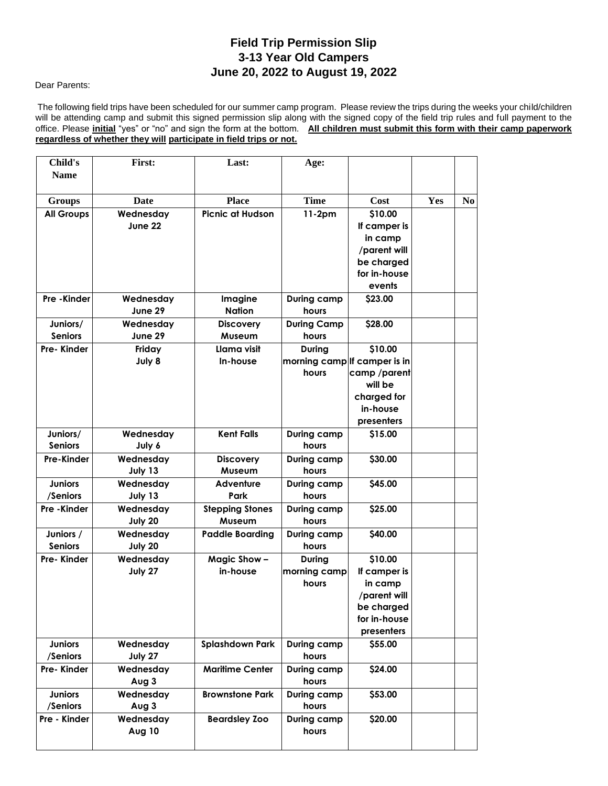## **Field Trip Permission Slip 3-13 Year Old Campers June 20, 2022 to August 19, 2022**

## Dear Parents:

The following field trips have been scheduled for our summer camp program. Please review the trips during the weeks your child/children will be attending camp and submit this signed permission slip along with the signed copy of the field trip rules and full payment to the office. Please **initial** "yes" or "no" and sign the form at the bottom. **All children must submit this form with their camp paperwork regardless of whether they will participate in field trips or not.**

| Child's<br><b>Name</b> | First:    | Last:                   | Age:                         |                            |     |                |
|------------------------|-----------|-------------------------|------------------------------|----------------------------|-----|----------------|
| <b>Groups</b>          | Date      | <b>Place</b>            | <b>Time</b>                  | Cost                       | Yes | N <sub>0</sub> |
| <b>All Groups</b>      | Wednesday | <b>Picnic at Hudson</b> | $11-2pm$                     | \$10.00                    |     |                |
|                        | June 22   |                         |                              | If camper is               |     |                |
|                        |           |                         |                              | in camp                    |     |                |
|                        |           |                         |                              | /parent will<br>be charged |     |                |
|                        |           |                         |                              | for in-house               |     |                |
|                        |           |                         |                              | events                     |     |                |
| Pre-Kinder             | Wednesday | Imagine                 | <b>During camp</b>           | \$23.00                    |     |                |
|                        | June 29   | <b>Nation</b>           | hours                        |                            |     |                |
| Juniors/               | Wednesday | <b>Discovery</b>        | <b>During Camp</b>           | \$28.00                    |     |                |
| <b>Seniors</b>         | June 29   | Museum                  | hours                        |                            |     |                |
| Pre-Kinder             | Friday    | Llama visit             | <b>During</b>                | \$10.00                    |     |                |
|                        | July 8    | In-house                | morning camp If camper is in |                            |     |                |
|                        |           |                         | hours                        | camp/parent                |     |                |
|                        |           |                         |                              | will be                    |     |                |
|                        |           |                         |                              | charged for                |     |                |
|                        |           |                         |                              | in-house                   |     |                |
|                        |           |                         |                              | presenters                 |     |                |
| Juniors/               | Wednesday | <b>Kent Falls</b>       | <b>During camp</b>           | \$15.00                    |     |                |
| <b>Seniors</b>         | July 6    |                         | hours                        |                            |     |                |
| <b>Pre-Kinder</b>      | Wednesday | <b>Discovery</b>        | <b>During camp</b>           | \$30.00                    |     |                |
|                        | July 13   | Museum                  | hours                        |                            |     |                |
| <b>Juniors</b>         | Wednesday | <b>Adventure</b>        | During camp                  | \$45.00                    |     |                |
| /Seniors               | July 13   | Park                    | hours                        |                            |     |                |
| Pre - Kinder           | Wednesday | <b>Stepping Stones</b>  | <b>During camp</b>           | \$25.00                    |     |                |
|                        | July 20   | Museum                  | hours                        |                            |     |                |
| Juniors /              | Wednesday | <b>Paddle Boarding</b>  | <b>During camp</b>           | \$40.00                    |     |                |
| <b>Seniors</b>         | July 20   |                         | hours                        |                            |     |                |
| Pre-Kinder             | Wednesday | Magic Show-             | During                       | \$10.00                    |     |                |
|                        | July 27   | in-house                | morning camp<br>hours        | If camper is<br>in camp    |     |                |
|                        |           |                         |                              | parent will                |     |                |
|                        |           |                         |                              | be charged                 |     |                |
|                        |           |                         |                              | for in-house               |     |                |
|                        |           |                         |                              | presenters                 |     |                |
| <b>Juniors</b>         | Wednesday | <b>Splashdown Park</b>  | <b>During camp</b>           | \$55.00                    |     |                |
| /Seniors               | July 27   |                         | hours                        |                            |     |                |
| Pre-Kinder             | Wednesday | <b>Maritime Center</b>  | During camp                  | \$24.00                    |     |                |
|                        | Aug 3     |                         | hours                        |                            |     |                |
| <b>Juniors</b>         | Wednesday | <b>Brownstone Park</b>  | During camp                  | \$53.00                    |     |                |
| /Seniors               | Aug 3     |                         | hours                        |                            |     |                |
| Pre - Kinder           | Wednesday | <b>Beardsley Zoo</b>    | <b>During camp</b>           | \$20.00                    |     |                |
|                        | Aug 10    |                         | hours                        |                            |     |                |
|                        |           |                         |                              |                            |     |                |